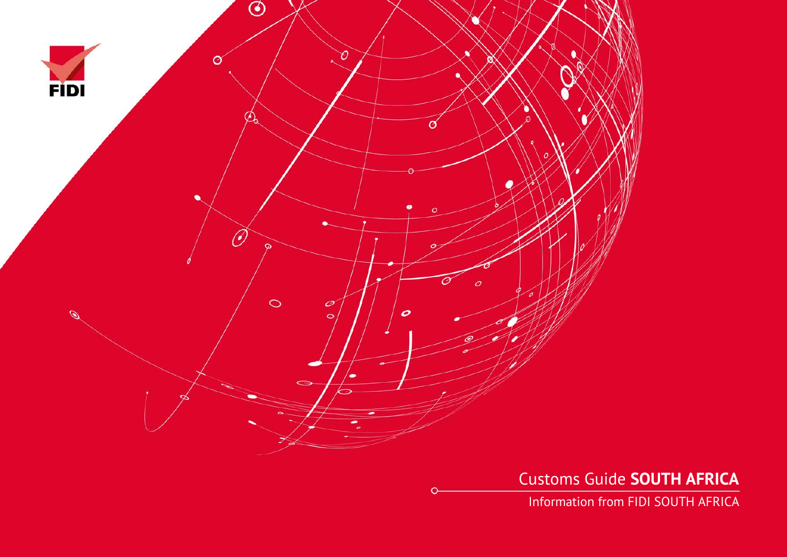

Customs Guide **SOUTH AFRICA**

Information from FIDI SOUTH AFRICA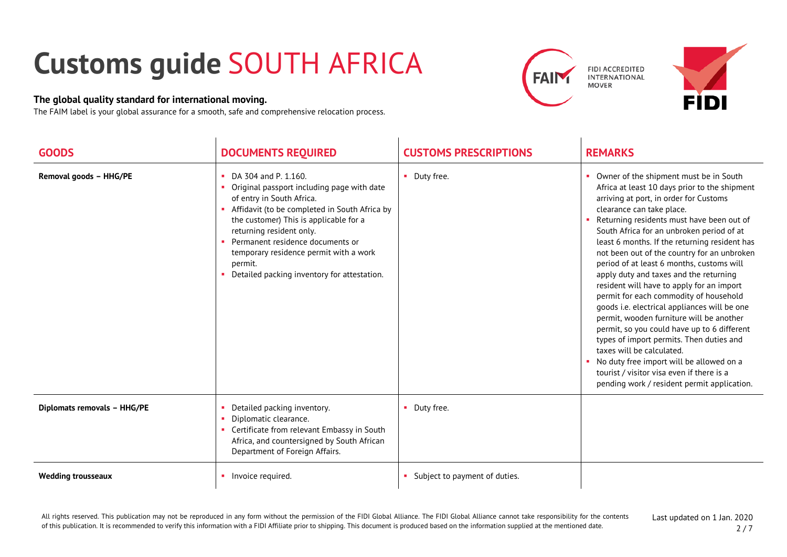## **Customs guide** SOUTH AFRICA

## **The global quality standard for international moving.**

The FAIM label is your global assurance for a smooth, safe and comprehensive relocation process.





| <b>GOODS</b>                | <b>DOCUMENTS REQUIRED</b>                                                                                                                                                                                                                                                                                                                                      | <b>CUSTOMS PRESCRIPTIONS</b>  | <b>REMARKS</b>                                                                                                                                                                                                                                                                                                                                                                                                                                                                                                                                                                                                                                                                                                                                                                                                                                                                                     |
|-----------------------------|----------------------------------------------------------------------------------------------------------------------------------------------------------------------------------------------------------------------------------------------------------------------------------------------------------------------------------------------------------------|-------------------------------|----------------------------------------------------------------------------------------------------------------------------------------------------------------------------------------------------------------------------------------------------------------------------------------------------------------------------------------------------------------------------------------------------------------------------------------------------------------------------------------------------------------------------------------------------------------------------------------------------------------------------------------------------------------------------------------------------------------------------------------------------------------------------------------------------------------------------------------------------------------------------------------------------|
| Removal goods - HHG/PE      | DA 304 and P. 1.160.<br>Original passport including page with date<br>of entry in South Africa.<br>Affidavit (to be completed in South Africa by<br>the customer) This is applicable for a<br>returning resident only.<br>Permanent residence documents or<br>temporary residence permit with a work<br>permit.<br>Detailed packing inventory for attestation. | • Duty free.                  | Owner of the shipment must be in South<br>Africa at least 10 days prior to the shipment<br>arriving at port, in order for Customs<br>clearance can take place.<br>Returning residents must have been out of<br>South Africa for an unbroken period of at<br>least 6 months. If the returning resident has<br>not been out of the country for an unbroken<br>period of at least 6 months, customs will<br>apply duty and taxes and the returning<br>resident will have to apply for an import<br>permit for each commodity of household<br>goods i.e. electrical appliances will be one<br>permit, wooden furniture will be another<br>permit, so you could have up to 6 different<br>types of import permits. Then duties and<br>taxes will be calculated.<br>No duty free import will be allowed on a<br>tourist / visitor visa even if there is a<br>pending work / resident permit application. |
| Diplomats removals - HHG/PE | Detailed packing inventory.<br>Diplomatic clearance.<br>Certificate from relevant Embassy in South<br>Africa, and countersigned by South African<br>Department of Foreign Affairs.                                                                                                                                                                             | • Duty free.                  |                                                                                                                                                                                                                                                                                                                                                                                                                                                                                                                                                                                                                                                                                                                                                                                                                                                                                                    |
| <b>Wedding trousseaux</b>   | Invoice required.                                                                                                                                                                                                                                                                                                                                              | Subject to payment of duties. |                                                                                                                                                                                                                                                                                                                                                                                                                                                                                                                                                                                                                                                                                                                                                                                                                                                                                                    |

All rights reserved. This publication may not be reproduced in any form without the permission of the FIDI Global Alliance. The FIDI Global Alliance cannot take responsibility for the contents of this publication. It is recommended to verify this information with a FIDI Affiliate prior to shipping. This document is produced based on the information supplied at the mentioned date.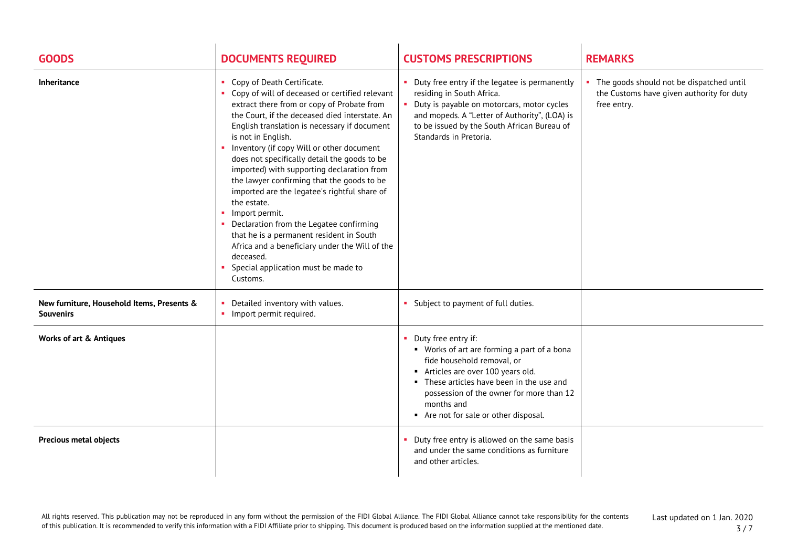| <b>GOODS</b>                                                   | <b>DOCUMENTS REQUIRED</b>                                                                                                                                                                                                                                                                                                                                                                                                                                                                                                                                                                                                                                                                                                                     | <b>CUSTOMS PRESCRIPTIONS</b>                                                                                                                                                                                                                                                         | <b>REMARKS</b>                                                                                         |
|----------------------------------------------------------------|-----------------------------------------------------------------------------------------------------------------------------------------------------------------------------------------------------------------------------------------------------------------------------------------------------------------------------------------------------------------------------------------------------------------------------------------------------------------------------------------------------------------------------------------------------------------------------------------------------------------------------------------------------------------------------------------------------------------------------------------------|--------------------------------------------------------------------------------------------------------------------------------------------------------------------------------------------------------------------------------------------------------------------------------------|--------------------------------------------------------------------------------------------------------|
| Inheritance                                                    | • Copy of Death Certificate.<br>• Copy of will of deceased or certified relevant<br>extract there from or copy of Probate from<br>the Court, if the deceased died interstate. An<br>English translation is necessary if document<br>is not in English.<br>Inventory (if copy Will or other document<br>does not specifically detail the goods to be<br>imported) with supporting declaration from<br>the lawyer confirming that the goods to be<br>imported are the legatee's rightful share of<br>the estate.<br>• Import permit.<br>• Declaration from the Legatee confirming<br>that he is a permanent resident in South<br>Africa and a beneficiary under the Will of the<br>deceased.<br>Special application must be made to<br>Customs. | • Duty free entry if the legatee is permanently<br>residing in South Africa.<br>Duty is payable on motorcars, motor cycles<br>and mopeds. A "Letter of Authority", (LOA) is<br>to be issued by the South African Bureau of<br>Standards in Pretoria.                                 | • The goods should not be dispatched until<br>the Customs have given authority for duty<br>free entry. |
| New furniture, Household Items, Presents &<br><b>Souvenirs</b> | Detailed inventory with values.<br>$\mathbf{r}$<br>• Import permit required.                                                                                                                                                                                                                                                                                                                                                                                                                                                                                                                                                                                                                                                                  | • Subject to payment of full duties.                                                                                                                                                                                                                                                 |                                                                                                        |
| <b>Works of art &amp; Antiques</b>                             |                                                                                                                                                                                                                                                                                                                                                                                                                                                                                                                                                                                                                                                                                                                                               | • Duty free entry if:<br>• Works of art are forming a part of a bona<br>fide household removal, or<br>Articles are over 100 years old.<br>• These articles have been in the use and<br>possession of the owner for more than 12<br>months and<br>Are not for sale or other disposal. |                                                                                                        |
| <b>Precious metal objects</b>                                  |                                                                                                                                                                                                                                                                                                                                                                                                                                                                                                                                                                                                                                                                                                                                               | • Duty free entry is allowed on the same basis<br>and under the same conditions as furniture<br>and other articles.                                                                                                                                                                  |                                                                                                        |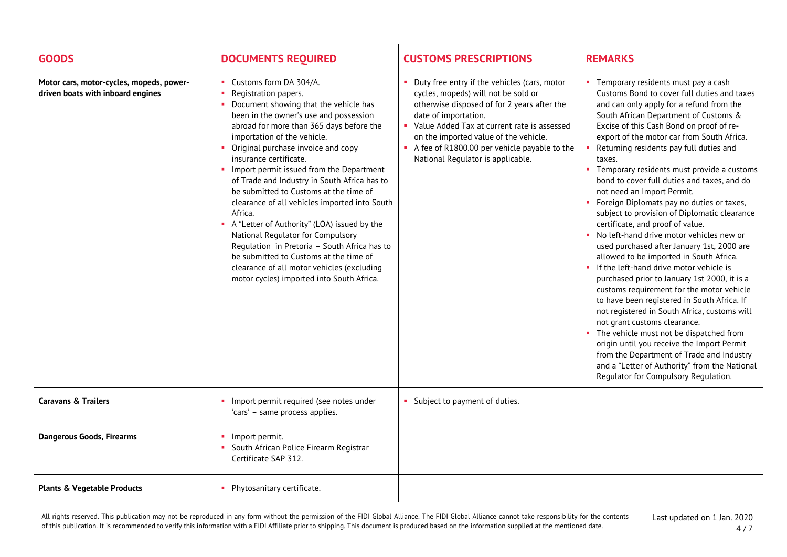| <b>GOODS</b>                                                                  | <b>DOCUMENTS REQUIRED</b>                                                                                                                                                                                                                                                                                                                                                                                                                                                                                                                                                                                                                                                                                                                                   | <b>CUSTOMS PRESCRIPTIONS</b>                                                                                                                                                                                                                                                                                                            | <b>REMARKS</b>                                                                                                                                                                                                                                                                                                                                                                                                                                                                                                                                                                                                                                                                                                                                                                                                                                                                                                                                                                                                                                                                                                                                                                                                                                        |
|-------------------------------------------------------------------------------|-------------------------------------------------------------------------------------------------------------------------------------------------------------------------------------------------------------------------------------------------------------------------------------------------------------------------------------------------------------------------------------------------------------------------------------------------------------------------------------------------------------------------------------------------------------------------------------------------------------------------------------------------------------------------------------------------------------------------------------------------------------|-----------------------------------------------------------------------------------------------------------------------------------------------------------------------------------------------------------------------------------------------------------------------------------------------------------------------------------------|-------------------------------------------------------------------------------------------------------------------------------------------------------------------------------------------------------------------------------------------------------------------------------------------------------------------------------------------------------------------------------------------------------------------------------------------------------------------------------------------------------------------------------------------------------------------------------------------------------------------------------------------------------------------------------------------------------------------------------------------------------------------------------------------------------------------------------------------------------------------------------------------------------------------------------------------------------------------------------------------------------------------------------------------------------------------------------------------------------------------------------------------------------------------------------------------------------------------------------------------------------|
| Motor cars, motor-cycles, mopeds, power-<br>driven boats with inboard engines | • Customs form DA 304/A.<br>Registration papers.<br>Document showing that the vehicle has<br>been in the owner's use and possession<br>abroad for more than 365 days before the<br>importation of the vehicle.<br>Original purchase invoice and copy<br>insurance certificate.<br>• Import permit issued from the Department<br>of Trade and Industry in South Africa has to<br>be submitted to Customs at the time of<br>clearance of all vehicles imported into South<br>Africa.<br>A "Letter of Authority" (LOA) issued by the<br>National Regulator for Compulsory<br>Requlation in Pretoria - South Africa has to<br>be submitted to Customs at the time of<br>clearance of all motor vehicles (excluding<br>motor cycles) imported into South Africa. | Duty free entry if the vehicles (cars, motor<br>cycles, mopeds) will not be sold or<br>otherwise disposed of for 2 years after the<br>date of importation.<br>Value Added Tax at current rate is assessed<br>on the imported value of the vehicle.<br>A fee of R1800.00 per vehicle payable to the<br>National Regulator is applicable. | • Temporary residents must pay a cash<br>Customs Bond to cover full duties and taxes<br>and can only apply for a refund from the<br>South African Department of Customs &<br>Excise of this Cash Bond on proof of re-<br>export of the motor car from South Africa.<br>Returning residents pay full duties and<br>taxes.<br>• Temporary residents must provide a customs<br>bond to cover full duties and taxes, and do<br>not need an Import Permit.<br>Foreign Diplomats pay no duties or taxes,<br>subject to provision of Diplomatic clearance<br>certificate, and proof of value.<br>• No left-hand drive motor vehicles new or<br>used purchased after January 1st, 2000 are<br>allowed to be imported in South Africa.<br>If the left-hand drive motor vehicle is<br>$\mathbf{m}$<br>purchased prior to January 1st 2000, it is a<br>customs requirement for the motor vehicle<br>to have been registered in South Africa. If<br>not registered in South Africa, customs will<br>not grant customs clearance.<br>• The vehicle must not be dispatched from<br>origin until you receive the Import Permit<br>from the Department of Trade and Industry<br>and a "Letter of Authority" from the National<br>Regulator for Compulsory Regulation. |
| <b>Caravans &amp; Trailers</b>                                                | Import permit required (see notes under<br>'cars' - same process applies.                                                                                                                                                                                                                                                                                                                                                                                                                                                                                                                                                                                                                                                                                   | • Subject to payment of duties.                                                                                                                                                                                                                                                                                                         |                                                                                                                                                                                                                                                                                                                                                                                                                                                                                                                                                                                                                                                                                                                                                                                                                                                                                                                                                                                                                                                                                                                                                                                                                                                       |
| <b>Dangerous Goods, Firearms</b>                                              | Import permit.<br>South African Police Firearm Registrar<br>Certificate SAP 312.                                                                                                                                                                                                                                                                                                                                                                                                                                                                                                                                                                                                                                                                            |                                                                                                                                                                                                                                                                                                                                         |                                                                                                                                                                                                                                                                                                                                                                                                                                                                                                                                                                                                                                                                                                                                                                                                                                                                                                                                                                                                                                                                                                                                                                                                                                                       |
| <b>Plants &amp; Vegetable Products</b>                                        | Phytosanitary certificate.                                                                                                                                                                                                                                                                                                                                                                                                                                                                                                                                                                                                                                                                                                                                  |                                                                                                                                                                                                                                                                                                                                         |                                                                                                                                                                                                                                                                                                                                                                                                                                                                                                                                                                                                                                                                                                                                                                                                                                                                                                                                                                                                                                                                                                                                                                                                                                                       |

All rights reserved. This publication may not be reproduced in any form without the permission of the FIDI Global Alliance. The FIDI Global Alliance cannot take responsibility for the contents of this publication. It is recommended to verify this information with a FIDI Affiliate prior to shipping. This document is produced based on the information supplied at the mentioned date.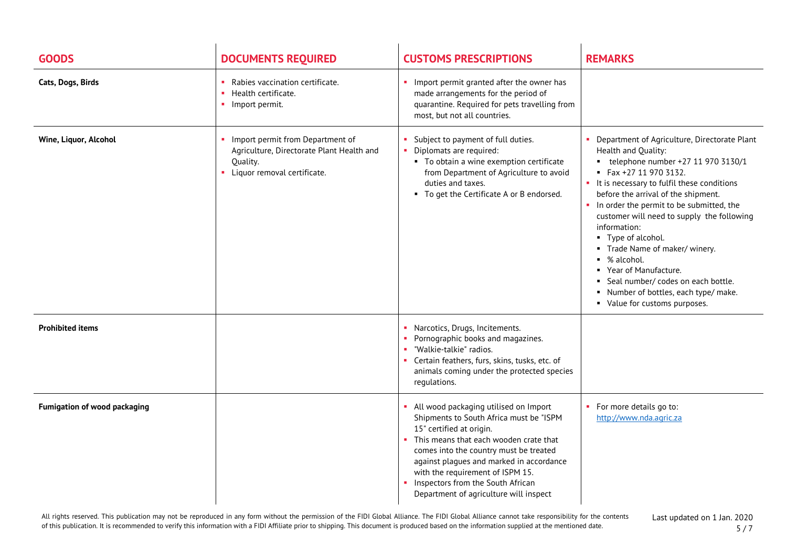| <b>GOODS</b>                 | <b>DOCUMENTS REQUIRED</b>                                                                                                  | <b>CUSTOMS PRESCRIPTIONS</b>                                                                                                                                                                                                                                                                                                                                      | <b>REMARKS</b>                                                                                                                                                                                                                                                                                                                                                                                                                                                                                                                                        |
|------------------------------|----------------------------------------------------------------------------------------------------------------------------|-------------------------------------------------------------------------------------------------------------------------------------------------------------------------------------------------------------------------------------------------------------------------------------------------------------------------------------------------------------------|-------------------------------------------------------------------------------------------------------------------------------------------------------------------------------------------------------------------------------------------------------------------------------------------------------------------------------------------------------------------------------------------------------------------------------------------------------------------------------------------------------------------------------------------------------|
| Cats, Dogs, Birds            | Rabies vaccination certificate.<br>• Health certificate.<br>Import permit.                                                 | Import permit granted after the owner has<br>made arrangements for the period of<br>quarantine. Required for pets travelling from<br>most, but not all countries.                                                                                                                                                                                                 |                                                                                                                                                                                                                                                                                                                                                                                                                                                                                                                                                       |
| Wine, Liquor, Alcohol        | Import permit from Department of<br>Agriculture, Directorate Plant Health and<br>Ouality.<br>• Liquor removal certificate. | Subject to payment of full duties.<br>• Diplomats are required:<br>• To obtain a wine exemption certificate<br>from Department of Agriculture to avoid<br>duties and taxes.<br>• To get the Certificate A or B endorsed.                                                                                                                                          | Department of Agriculture, Directorate Plant<br>Health and Quality:<br>$\bullet$ telephone number +27 11 970 3130/1<br>Fax +27 11 970 3132.<br>• It is necessary to fulfil these conditions<br>before the arrival of the shipment.<br>In order the permit to be submitted, the<br>customer will need to supply the following<br>information:<br>• Type of alcohol.<br>Trade Name of maker/winery.<br>% alcohol.<br>Year of Manufacture.<br>Seal number/ codes on each bottle.<br>Number of bottles, each type/ make.<br>• Value for customs purposes. |
| <b>Prohibited items</b>      |                                                                                                                            | • Narcotics, Drugs, Incitements.<br>Pornographic books and magazines.<br>" "Walkie-talkie" radios.<br>• Certain feathers, furs, skins, tusks, etc. of<br>animals coming under the protected species<br>regulations.                                                                                                                                               |                                                                                                                                                                                                                                                                                                                                                                                                                                                                                                                                                       |
| Fumigation of wood packaging |                                                                                                                            | All wood packaging utilised on Import<br>Shipments to South Africa must be "ISPM<br>15" certified at origin.<br>• This means that each wooden crate that<br>comes into the country must be treated<br>against plagues and marked in accordance<br>with the requirement of ISPM 15.<br>Inspectors from the South African<br>Department of agriculture will inspect | For more details go to:<br>http://www.nda.agric.za                                                                                                                                                                                                                                                                                                                                                                                                                                                                                                    |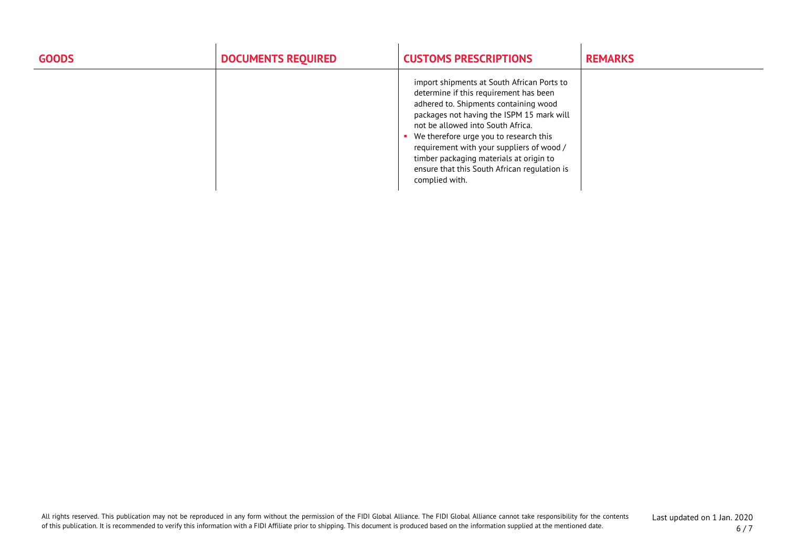| <b>GOODS</b> | <b>DOCUMENTS REQUIRED</b> | <b>CUSTOMS PRESCRIPTIONS</b>                                                                                                                                                                                                                                                                                                                                                                                        | <b>REMARKS</b> |
|--------------|---------------------------|---------------------------------------------------------------------------------------------------------------------------------------------------------------------------------------------------------------------------------------------------------------------------------------------------------------------------------------------------------------------------------------------------------------------|----------------|
|              |                           | import shipments at South African Ports to<br>determine if this requirement has been<br>adhered to. Shipments containing wood<br>packages not having the ISPM 15 mark will<br>not be allowed into South Africa.<br>We therefore urge you to research this<br>requirement with your suppliers of wood /<br>timber packaging materials at origin to<br>ensure that this South African regulation is<br>complied with. |                |